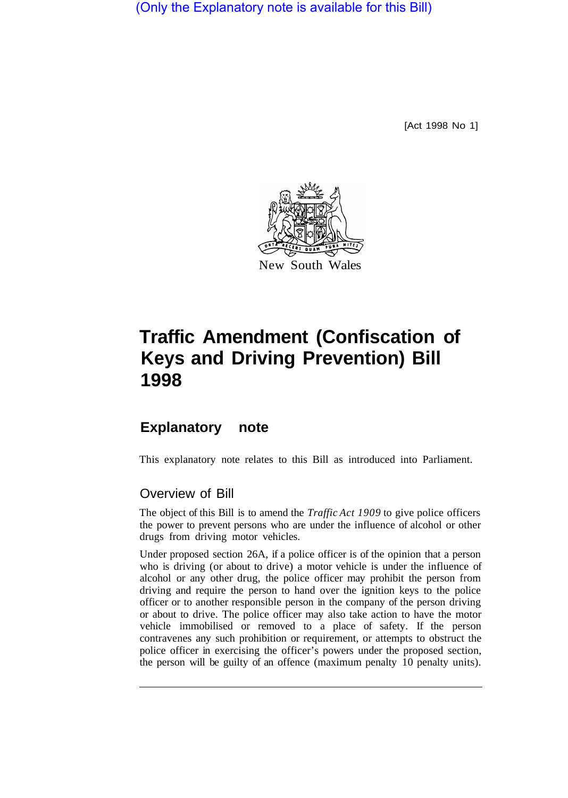(Only the Explanatory note is available for this Bill)

[Act 1998 No 1]



## **Traffic Amendment (Confiscation of Keys and Driving Prevention) Bill 1998**

## **Explanatory note**

This explanatory note relates to this Bill as introduced into Parliament.

## Overview of Bill

The object of this Bill is to amend the *Traffic Act 1909* to give police officers the power to prevent persons who are under the influence of alcohol or other drugs from driving motor vehicles.

Under proposed section 26A, if a police officer is of the opinion that a person who is driving (or about to drive) a motor vehicle is under the influence of alcohol or any other drug, the police officer may prohibit the person from driving and require the person to hand over the ignition keys to the police officer or to another responsible person in the company of the person driving or about to drive. The police officer may also take action to have the motor vehicle immobilised or removed to a place of safety. If the person contravenes any such prohibition or requirement, or attempts to obstruct the police officer in exercising the officer's powers under the proposed section, the person will be guilty of an offence (maximum penalty 10 penalty units).